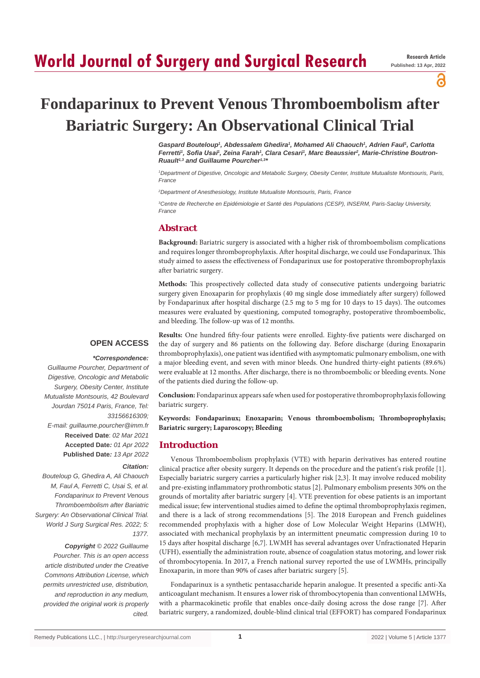# **World Journal of Surgery and Surgical Research**

പ്പ

# **Fondaparinux to Prevent Venous Thromboembolism after Bariatric Surgery: An Observational Clinical Trial**

Gaspard Bouteloup<sup>1</sup>, Abdessalem Ghedira<sup>1</sup>, Mohamed Ali Chaouch<sup>1</sup>, Adrien Faul<sup>1</sup>, Carlotta Ferretti<sup>†</sup>, Sofia Usai<sup>1</sup>, Zeina Farah<sup>1</sup>, Clara Cesari<sup>1</sup>, Marc Beaussier<sup>2</sup>, Marie-Christine Boutron-*Ruault1,3 and Guillaume Pourcher1,3\**

*1 Department of Digestive, Oncologic and Metabolic Surgery, Obesity Center, Institute Mutualiste Montsouris, Paris, France*

*2 Department of Anesthesiology, Institute Mutualiste Montsouris, Paris, France*

*3 Centre de Recherche en Epidémiologie et Santé des Populations (CESP), INSERM, Paris-Saclay University, France*

# **Abstract**

**Background:** Bariatric surgery is associated with a higher risk of thromboembolism complications and requires longer thromboprophylaxis. After hospital discharge, we could use Fondaparinux. This study aimed to assess the effectiveness of Fondaparinux use for postoperative thromboprophylaxis after bariatric surgery.

**Methods:** This prospectively collected data study of consecutive patients undergoing bariatric surgery given Enoxaparin for prophylaxis (40 mg single dose immediately after surgery) followed by Fondaparinux after hospital discharge (2.5 mg to 5 mg for 10 days to 15 days). The outcomes measures were evaluated by questioning, computed tomography, postoperative thromboembolic, and bleeding. The follow-up was of 12 months.

# **OPEN ACCESS**

# *\*Correspondence:*

*Citation:* 

*1377.*

*Guillaume Pourcher, Department of Digestive, Oncologic and Metabolic Surgery, Obesity Center, Institute Mutualiste Montsouris, 42 Boulevard Jourdan 75014 Paris, France, Tel: 33156616309; E-mail: guillaume.pourcher@imm.fr* **Received Date**: *02 Mar 2021* **Accepted Date***: 01 Apr 2022* **Published Date***: 13 Apr 2022*

*Bouteloup G, Ghedira A, Ali Chaouch M, Faul A, Ferretti C, Usai S, et al. Fondaparinux to Prevent Venous Thromboembolism after Bariatric Surgery: An Observational Clinical Trial. World J Surg Surgical Res. 2022; 5:* 

*Copyright © 2022 Guillaume Pourcher. This is an open access article distributed under the Creative Commons Attribution License, which permits unrestricted use, distribution, and reproduction in any medium, provided the original work is properly cited.*

**Results:** One hundred fifty-four patients were enrolled. Eighty-five patients were discharged on the day of surgery and 86 patients on the following day. Before discharge (during Enoxaparin thromboprophylaxis), one patient was identified with asymptomatic pulmonary embolism, one with a major bleeding event, and seven with minor bleeds. One hundred thirty-eight patients (89.6%) were evaluable at 12 months. After discharge, there is no thromboembolic or bleeding events. None of the patients died during the follow-up.

**Conclusion:** Fondaparinux appears safe when used for postoperative thromboprophylaxis following bariatric surgery.

**Keywords: Fondaparinux; Enoxaparin; Venous thromboembolism; Thromboprophylaxis; Bariatric surgery; Laparoscopy; Bleeding**

# **Introduction**

Venous Thromboembolism prophylaxis (VTE) with heparin derivatives has entered routine clinical practice after obesity surgery. It depends on the procedure and the patient's risk profile [1]. Especially bariatric surgery carries a particularly higher risk [2,3]. It may involve reduced mobility and pre-existing inflammatory prothrombotic status [2]. Pulmonary embolism presents 30% on the grounds of mortality after bariatric surgery [4]. VTE prevention for obese patients is an important medical issue; few interventional studies aimed to define the optimal thromboprophylaxis regimen, and there is a lack of strong recommendations [5]. The 2018 European and French guidelines recommended prophylaxis with a higher dose of Low Molecular Weight Heparins (LMWH), associated with mechanical prophylaxis by an intermittent pneumatic compression during 10 to 15 days after hospital discharge [6,7]. LWMH has several advantages over Unfractionated Heparin (UFH), essentially the administration route, absence of coagulation status motoring, and lower risk of thrombocytopenia. In 2017, a French national survey reported the use of LWMHs, principally Enoxaparin, in more than 90% of cases after bariatric surgery [5].

Fondaparinux is a synthetic pentasaccharide heparin analogue. It presented a specific anti-Xa anticoagulant mechanism. It ensures a lower risk of thrombocytopenia than conventional LMWHs, with a pharmacokinetic profile that enables once-daily dosing across the dose range [7]. After bariatric surgery, a randomized, double-blind clinical trial (EFFORT) has compared Fondaparinux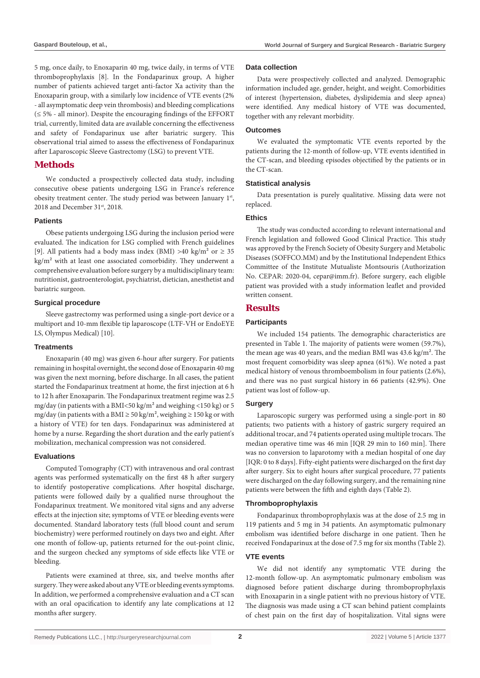5 mg, once daily, to Enoxaparin 40 mg, twice daily, in terms of VTE thromboprophylaxis [8]. In the Fondaparinux group, A higher number of patients achieved target anti-factor Xa activity than the Enoxaparin group, with a similarly low incidence of VTE events (2% - all asymptomatic deep vein thrombosis) and bleeding complications (≤ 5% - all minor). Despite the encouraging findings of the EFFORT trial, currently, limited data are available concerning the effectiveness and safety of Fondaparinux use after bariatric surgery. This observational trial aimed to assess the effectiveness of Fondaparinux after Laparoscopic Sleeve Gastrectomy (LSG) to prevent VTE.

# **Methods**

We conducted a prospectively collected data study, including consecutive obese patients undergoing LSG in France's reference obesity treatment center. The study period was between January 1st, 2018 and December 31<sup>st</sup>, 2018.

#### **Patients**

Obese patients undergoing LSG during the inclusion period were evaluated. The indication for LSG complied with French guidelines [9]. All patients had a body mass index (BMI) >40 kg/m<sup>2</sup> or  $\geq$  35 kg/m² with at least one associated comorbidity. They underwent a comprehensive evaluation before surgery by a multidisciplinary team: nutritionist, gastroenterologist, psychiatrist, dietician, anesthetist and bariatric surgeon.

#### **Surgical procedure**

Sleeve gastrectomy was performed using a single-port device or a multiport and 10-mm flexible tip laparoscope (LTF-VH or EndoEYE LS, Olympus Medical) [10].

#### **Treatments**

Enoxaparin (40 mg) was given 6-hour after surgery. For patients remaining in hospital overnight, the second dose of Enoxaparin 40 mg was given the next morning, before discharge. In all cases, the patient started the Fondaparinux treatment at home, the first injection at 6 h to 12 h after Enoxaparin. The Fondaparinux treatment regime was 2.5 mg/day (in patients with a BMI<50 kg/m² and weighing <150 kg) or 5 mg/day (in patients with a BMI  $\geq$  50 kg/m<sup>2</sup>, weighing  $\geq$  150 kg or with a history of VTE) for ten days. Fondaparinux was administered at home by a nurse. Regarding the short duration and the early patient's mobilization, mechanical compression was not considered.

#### **Evaluations**

Computed Tomography (CT) with intravenous and oral contrast agents was performed systematically on the first 48 h after surgery to identify postoperative complications. After hospital discharge, patients were followed daily by a qualified nurse throughout the Fondaparinux treatment. We monitored vital signs and any adverse effects at the injection site; symptoms of VTE or bleeding events were documented. Standard laboratory tests (full blood count and serum biochemistry) were performed routinely on days two and eight. After one month of follow-up, patients returned for the out-point clinic, and the surgeon checked any symptoms of side effects like VTE or bleeding.

Patients were examined at three, six, and twelve months after surgery. They were asked about any VTE or bleeding events symptoms. In addition, we performed a comprehensive evaluation and a CT scan with an oral opacification to identify any late complications at 12 months after surgery.

#### **Data collection**

Data were prospectively collected and analyzed. Demographic information included age, gender, height, and weight. Comorbidities of interest (hypertension, diabetes, dyslipidemia and sleep apnea) were identified. Any medical history of VTE was documented, together with any relevant morbidity.

# **Outcomes**

We evaluated the symptomatic VTE events reported by the patients during the 12-month of follow-up, VTE events identified in the CT-scan, and bleeding episodes objectified by the patients or in the CT-scan.

#### **Statistical analysis**

Data presentation is purely qualitative. Missing data were not replaced.

### **Ethics**

The study was conducted according to relevant international and French legislation and followed Good Clinical Practice. This study was approved by the French Society of Obesity Surgery and Metabolic Diseases (SOFFCO.MM) and by the Institutional Independent Ethics Committee of the Institute Mutualiste Montsouris (Authorization No. CEPAR: 2020-04, cepar@imm.fr). Before surgery, each eligible patient was provided with a study information leaflet and provided written consent.

# **Results**

#### **Participants**

We included 154 patients. The demographic characteristics are presented in Table 1. The majority of patients were women (59.7%), the mean age was 40 years, and the median BMI was 43.6 kg/m². The most frequent comorbidity was sleep apnea (61%). We noted a past medical history of venous thromboembolism in four patients (2.6%), and there was no past surgical history in 66 patients (42.9%). One patient was lost of follow-up.

#### **Surgery**

Laparoscopic surgery was performed using a single-port in 80 patients; two patients with a history of gastric surgery required an additional trocar, and 74 patients operated using multiple trocars. The median operative time was 46 min [IQR 29 min to 160 min]. There was no conversion to laparotomy with a median hospital of one day [IQR: 0 to 8 days]. Fifty-eight patients were discharged on the first day after surgery. Six to eight hours after surgical procedure, 77 patients were discharged on the day following surgery, and the remaining nine patients were between the fifth and eighth days (Table 2).

#### **Thromboprophylaxis**

Fondaparinux thromboprophylaxis was at the dose of 2.5 mg in 119 patients and 5 mg in 34 patients. An asymptomatic pulmonary embolism was identified before discharge in one patient. Then he received Fondaparinux at the dose of 7.5 mg for six months (Table 2).

#### **VTE events**

We did not identify any symptomatic VTE during the 12-month follow-up. An asymptomatic pulmonary embolism was diagnosed before patient discharge during thromboprophylaxis with Enoxaparin in a single patient with no previous history of VTE. The diagnosis was made using a CT scan behind patient complaints of chest pain on the first day of hospitalization. Vital signs were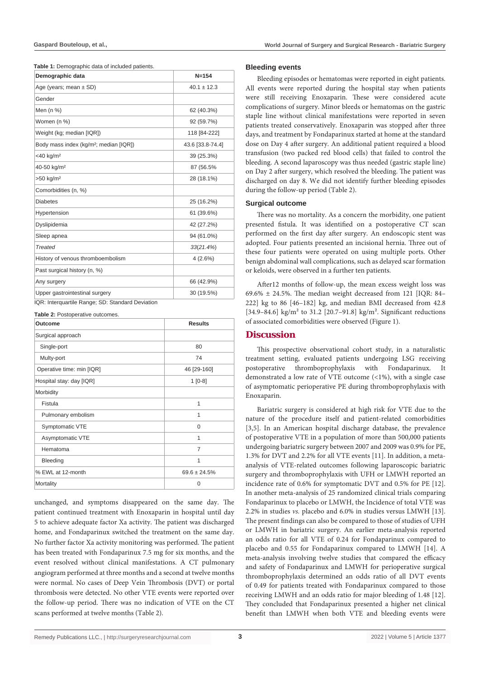|  |  | Table 1: Demographic data of included patients. |  |  |  |
|--|--|-------------------------------------------------|--|--|--|
|--|--|-------------------------------------------------|--|--|--|

| Demographic data                                   | $N = 154$        |
|----------------------------------------------------|------------------|
| Age (years; mean $\pm$ SD)                         | $40.1 \pm 12.3$  |
| Gender                                             |                  |
| Men (n %)                                          | 62 (40.3%)       |
| Women (n %)                                        | 92 (59.7%)       |
| Weight (kg; median [IQR])                          | 118 [84-222]     |
| Body mass index (kg/m <sup>2</sup> ; median [IQR]) | 43.6 [33.8-74.4] |
| <40 kg/m <sup>2</sup>                              | 39 (25.3%)       |
| 40-50 kg/m <sup>2</sup>                            | 87 (56.5%        |
| $>50$ kg/m <sup>2</sup>                            | 28 (18.1%)       |
| Comorbidities (n, %)                               |                  |
| <b>Diabetes</b>                                    | 25 (16.2%)       |
| Hypertension                                       | 61 (39.6%)       |
| Dyslipidemia                                       | 42 (27.2%)       |
| Sleep apnea                                        | 94 (61.0%)       |
| <b>Treated</b>                                     | $33(21.4\%)$     |
| History of venous thromboembolism                  | 4(2.6%)          |
| Past surgical history (n, %)                       |                  |
| Any surgery                                        | 66 (42.9%)       |
| Upper gastrointestinal surgery                     | 30 (19.5%)       |
| IQR: Interquartile Range; SD: Standard Deviation   |                  |

**Table 2:** Postoperative outcomes.

| Outcome                   | <b>Results</b>    |  |
|---------------------------|-------------------|--|
| Surgical approach         |                   |  |
| Single-port               | 80                |  |
| Multy-port                | 74                |  |
| Operative time: min [IQR] | 46 [29-160]       |  |
| Hospital stay: day [IQR]  | $1$ [0-8]         |  |
| Morbidity                 |                   |  |
| Fistula                   | 1                 |  |
| Pulmonary embolism        | 1                 |  |
| Symptomatic VTE           | $\Omega$          |  |
| Asymptomatic VTE          | 1                 |  |
| Hematoma                  | $\overline{7}$    |  |
| Bleeding                  | 1                 |  |
| % EWL at 12-month         | $69.6 \pm 24.5\%$ |  |
| Mortality                 | $\Omega$          |  |

unchanged, and symptoms disappeared on the same day. The patient continued treatment with Enoxaparin in hospital until day 5 to achieve adequate factor Xa activity. The patient was discharged home, and Fondaparinux switched the treatment on the same day. No further factor Xa activity monitoring was performed. The patient has been treated with Fondaparinux 7.5 mg for six months, and the event resolved without clinical manifestations. A CT pulmonary angiogram performed at three months and a second at twelve months were normal. No cases of Deep Vein Thrombosis (DVT) or portal thrombosis were detected. No other VTE events were reported over the follow-up period. There was no indication of VTE on the CT scans performed at twelve months (Table 2).

#### **Bleeding events**

Bleeding episodes or hematomas were reported in eight patients. All events were reported during the hospital stay when patients were still receiving Enoxaparin. These were considered acute complications of surgery. Minor bleeds or hematomas on the gastric staple line without clinical manifestations were reported in seven patients treated conservatively. Enoxaparin was stopped after three days, and treatment by Fondaparinux started at home at the standard dose on Day 4 after surgery. An additional patient required a blood transfusion (two packed red blood cells) that failed to control the bleeding. A second laparoscopy was thus needed (gastric staple line) on Day 2 after surgery, which resolved the bleeding. The patient was discharged on day 8. We did not identify further bleeding episodes during the follow-up period (Table 2).

#### **Surgical outcome**

There was no mortality. As a concern the morbidity, one patient presented fistula. It was identified on a postoperative CT scan performed on the first day after surgery. An endoscopic stent was adopted. Four patients presented an incisional hernia. Three out of these four patients were operated on using multiple ports. Other benign abdominal wall complications, such as delayed scar formation or keloids, were observed in a further ten patients.

After12 months of follow-up, the mean excess weight loss was 69.6%  $\pm$  24.5%. The median weight decreased from 121 [IQR: 84– 222] kg to 86 [46–182] kg, and median BMI decreased from 42.8 [34.9–84.6] kg/m² to 31.2 [20.7–91.8] kg/m². Significant reductions of associated comorbidities were observed (Figure 1).

# **Discussion**

This prospective observational cohort study, in a naturalistic treatment setting, evaluated patients undergoing LSG receiving postoperative thromboprophylaxis with Fondaparinux. It demonstrated a low rate of VTE outcome (<1%), with a single case of asymptomatic perioperative PE during thromboprophylaxis with Enoxaparin.

Bariatric surgery is considered at high risk for VTE due to the nature of the procedure itself and patient-related comorbidities [3,5]. In an American hospital discharge database, the prevalence of postoperative VTE in a population of more than 500,000 patients undergoing bariatric surgery between 2007 and 2009 was 0.9% for PE, 1.3% for DVT and 2.2% for all VTE events [11]. In addition, a metaanalysis of VTE-related outcomes following laparoscopic bariatric surgery and thromboprophylaxis with UFH or LMWH reported an incidence rate of 0.6% for symptomatic DVT and 0.5% for PE [12]. In another meta-analysis of 25 randomized clinical trials comparing Fondaparinux to placebo or LMWH, the Incidence of total VTE was 2.2% in studies *vs.* placebo and 6.0% in studies versus LMWH [13]. The present findings can also be compared to those of studies of UFH or LMWH in bariatric surgery. An earlier meta-analysis reported an odds ratio for all VTE of 0.24 for Fondaparinux compared to placebo and 0.55 for Fondaparinux compared to LMWH [14]. A meta-analysis involving twelve studies that compared the efficacy and safety of Fondaparinux and LMWH for perioperative surgical thromboprophylaxis determined an odds ratio of all DVT events of 0.49 for patients treated with Fondaparinux compared to those receiving LMWH and an odds ratio for major bleeding of 1.48 [12]. They concluded that Fondaparinux presented a higher net clinical benefit than LMWH when both VTE and bleeding events were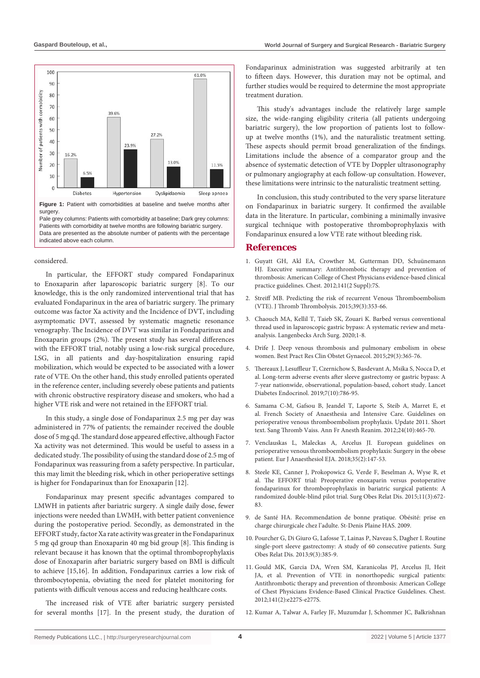

Pale grey columns: Patients with comorbidity at baseline; Dark grey columns: Patients with comorbidity at twelve months are following bariatric surgery. Data are presented as the absolute number of patients with the percentage indicated above each column.

#### considered.

In particular, the EFFORT study compared Fondaparinux to Enoxaparin after laparoscopic bariatric surgery [8]. To our knowledge, this is the only randomized interventional trial that has evaluated Fondaparinux in the area of bariatric surgery. The primary outcome was factor Xa activity and the Incidence of DVT, including asymptomatic DVT, assessed by systematic magnetic resonance venography. The Incidence of DVT was similar in Fondaparinux and Enoxaparin groups (2%). The present study has several differences with the EFFORT trial, notably using a low-risk surgical procedure, LSG, in all patients and day-hospitalization ensuring rapid mobilization, which would be expected to be associated with a lower rate of VTE. On the other hand, this study enrolled patients operated in the reference center, including severely obese patients and patients with chronic obstructive respiratory disease and smokers, who had a higher VTE risk and were not retained in the EFFORT trial.

In this study, a single dose of Fondaparinux 2.5 mg per day was administered in 77% of patients; the remainder received the double dose of 5 mg qd. The standard dose appeared effective, although Factor Xa activity was not determined. This would be useful to assess in a dedicated study. The possibility of using the standard dose of 2.5 mg of Fondaparinux was reassuring from a safety perspective. In particular, this may limit the bleeding risk, which in other perioperative settings is higher for Fondaparinux than for Enoxaparin [12].

Fondaparinux may present specific advantages compared to LMWH in patients after bariatric surgery. A single daily dose, fewer injections were needed than LWMH, with better patient convenience during the postoperative period. Secondly, as demonstrated in the EFFORT study, factor Xa rate activity was greater in the Fondaparinux 5 mg qd group than Enoxaparin 40 mg bid group [8]. This finding is relevant because it has known that the optimal thromboprophylaxis dose of Enoxaparin after bariatric surgery based on BMI is difficult to achieve [15,16]. In addition, Fondaparinux carries a low risk of thrombocytopenia, obviating the need for platelet monitoring for patients with difficult venous access and reducing healthcare costs.

The increased risk of VTE after bariatric surgery persisted for several months [17]. In the present study, the duration of Fondaparinux administration was suggested arbitrarily at ten to fifteen days. However, this duration may not be optimal, and further studies would be required to determine the most appropriate treatment duration.

This study's advantages include the relatively large sample size, the wide-ranging eligibility criteria (all patients undergoing bariatric surgery), the low proportion of patients lost to followup at twelve months (1%), and the naturalistic treatment setting. These aspects should permit broad generalization of the findings. Limitations include the absence of a comparator group and the absence of systematic detection of VTE by Doppler ultrasonography or pulmonary angiography at each follow-up consultation. However, these limitations were intrinsic to the naturalistic treatment setting.

In conclusion, this study contributed to the very sparse literature on Fondaparinux in bariatric surgery. It confirmed the available data in the literature. In particular, combining a minimally invasive surgical technique with postoperative thromboprophylaxis with Fondaparinux ensured a low VTE rate without bleeding risk.

### **References**

- 1. [Guyatt GH, Akl EA, Crowther M, Gutterman DD, Schuünemann](https://pubmed.ncbi.nlm.nih.gov/22315257/)  [HJ. Executive summary: Antithrombotic therapy and prevention of](https://pubmed.ncbi.nlm.nih.gov/22315257/)  [thrombosis: American College of Chest Physicians evidence-based clinical](https://pubmed.ncbi.nlm.nih.gov/22315257/)  [practice guidelines. Chest. 2012;141\(2 Suppl\):7S.](https://pubmed.ncbi.nlm.nih.gov/22315257/)
- 2. [Streiff MB. Predicting the risk of recurrent Venous Thromboembolism](https://pubmed.ncbi.nlm.nih.gov/32456008/)  [\(VTE\). J Thromb Thrombolysis. 2015;39\(3\):353-66.](https://pubmed.ncbi.nlm.nih.gov/32456008/)
- 3. [Chaouch MA, Kellil T, Taieb SK, Zouari K. Barbed versus conventional](https://link.springer.com/article/10.1007/s00423-020-01979-9)  [thread used in laparoscopic gastric bypass: A systematic review and meta](https://link.springer.com/article/10.1007/s00423-020-01979-9)[analysis. Langenbecks Arch Surg. 2020;1-8.](https://link.springer.com/article/10.1007/s00423-020-01979-9)
- 4. [Drife J. Deep venous thrombosis and pulmonary embolism in obese](https://pubmed.ncbi.nlm.nih.gov/25457857/)  [women. Best Pract Res Clin Obstet Gynaecol. 2015;29\(3\):365-76.](https://pubmed.ncbi.nlm.nih.gov/25457857/)
- 5. [Thereaux J, Lesuffleur T, Czernichow S, Basdevant A, Msika S, Nocca D, et](https://www.thelancet.com/journals/landia/article/PIIS2213-8587(19)30191-3/fulltext)  [al. Long-term adverse events after sleeve gastrectomy or gastric bypass: A](https://www.thelancet.com/journals/landia/article/PIIS2213-8587(19)30191-3/fulltext)  [7-year nationwide, observational, population-based, cohort study. Lancet](https://www.thelancet.com/journals/landia/article/PIIS2213-8587(19)30191-3/fulltext)  [Diabetes Endocrinol. 2019;7\(10\):786-95.](https://www.thelancet.com/journals/landia/article/PIIS2213-8587(19)30191-3/fulltext)
- 6. [Samama C-M, Gafsou B, Jeandel T, Laporte S, Steib A, Marret E, et](https://pubmed.ncbi.nlm.nih.gov/22104443/)  [al. French Society of Anaesthesia and Intensive Care. Guidelines on](https://pubmed.ncbi.nlm.nih.gov/22104443/)  [perioperative venous thromboembolism prophylaxis. Update 2011. Short](https://pubmed.ncbi.nlm.nih.gov/22104443/)  [text. Sang Thromb Vaiss. Ann Fr Anesth Reanim. 2012;24\(10\):465-70.](https://pubmed.ncbi.nlm.nih.gov/22104443/)
- 7. [Venclauskas L, Maleckas A, Arcelus JI. European guidelines on](https://www.ingentaconnect.com/content/wk/eja/2018/00000035/00000002/art00014?crawler=true&mimetype=application/pdf)  [perioperative venous thromboembolism prophylaxis: Surgery in the obese](https://www.ingentaconnect.com/content/wk/eja/2018/00000035/00000002/art00014?crawler=true&mimetype=application/pdf)  [patient. Eur J Anaesthesiol EJA. 2018;35\(2\):147-53.](https://www.ingentaconnect.com/content/wk/eja/2018/00000035/00000002/art00014?crawler=true&mimetype=application/pdf)
- 8. [Steele KE, Canner J, Prokopowicz G, Verde F, Beselman A, Wyse R, et](https://www.semanticscholar.org/paper/The-EFFORT-trial%3A-Preoperative-enoxaparin-versus-in-Steele-Canner/728b54cc2b9af5d4ae83ba32da4b16a9e5350fb1)  [al. The EFFORT trial: Preoperative enoxaparin versus postoperative](https://www.semanticscholar.org/paper/The-EFFORT-trial%3A-Preoperative-enoxaparin-versus-in-Steele-Canner/728b54cc2b9af5d4ae83ba32da4b16a9e5350fb1)  [fondaparinux for thromboprophylaxis in bariatric surgical patients: A](https://www.semanticscholar.org/paper/The-EFFORT-trial%3A-Preoperative-enoxaparin-versus-in-Steele-Canner/728b54cc2b9af5d4ae83ba32da4b16a9e5350fb1)  [randomized double-blind pilot trial. Surg Obes Relat Dis. 2015;11\(3\):672-](https://www.semanticscholar.org/paper/The-EFFORT-trial%3A-Preoperative-enoxaparin-versus-in-Steele-Canner/728b54cc2b9af5d4ae83ba32da4b16a9e5350fb1) [83.](https://www.semanticscholar.org/paper/The-EFFORT-trial%3A-Preoperative-enoxaparin-versus-in-Steele-Canner/728b54cc2b9af5d4ae83ba32da4b16a9e5350fb1)
- 9. de Santé HA. Recommendation de bonne pratique. Obésité: prise en charge chirurgicale chez l'adulte. St-Denis Plaine HAS. 2009.
- 10. [Pourcher G, Di Giuro G, Lafosse T, Lainas P, Naveau S, Dagher I. Routine](https://pubmed.ncbi.nlm.nih.gov/22498358/)  [single-port sleeve gastrectomy: A study of 60 consecutive patients. Surg](https://pubmed.ncbi.nlm.nih.gov/22498358/)  [Obes Relat Dis. 2013;9\(3\):385-9.](https://pubmed.ncbi.nlm.nih.gov/22498358/)
- 11. [Gould MK, Garcia DA, Wren SM, Karanicolas PJ, Arcelus JI, Heit](https://pubmed.ncbi.nlm.nih.gov/22315263/)  [JA, et al. Prevention of VTE in nonorthopedic surgical patients:](https://pubmed.ncbi.nlm.nih.gov/22315263/)  [Antithrombotic therapy and prevention of thrombosis: American College](https://pubmed.ncbi.nlm.nih.gov/22315263/)  [of Chest Physicians Evidence-Based Clinical Practice Guidelines. Chest.](https://pubmed.ncbi.nlm.nih.gov/22315263/)  [2012;141\(2\):e227S-e277S.](https://pubmed.ncbi.nlm.nih.gov/22315263/)
- 12. [Kumar A, Talwar A, Farley JF, Muzumdar J, Schommer JC, Balkrishnan](https://pubmed.ncbi.nlm.nih.gov/31070069/)